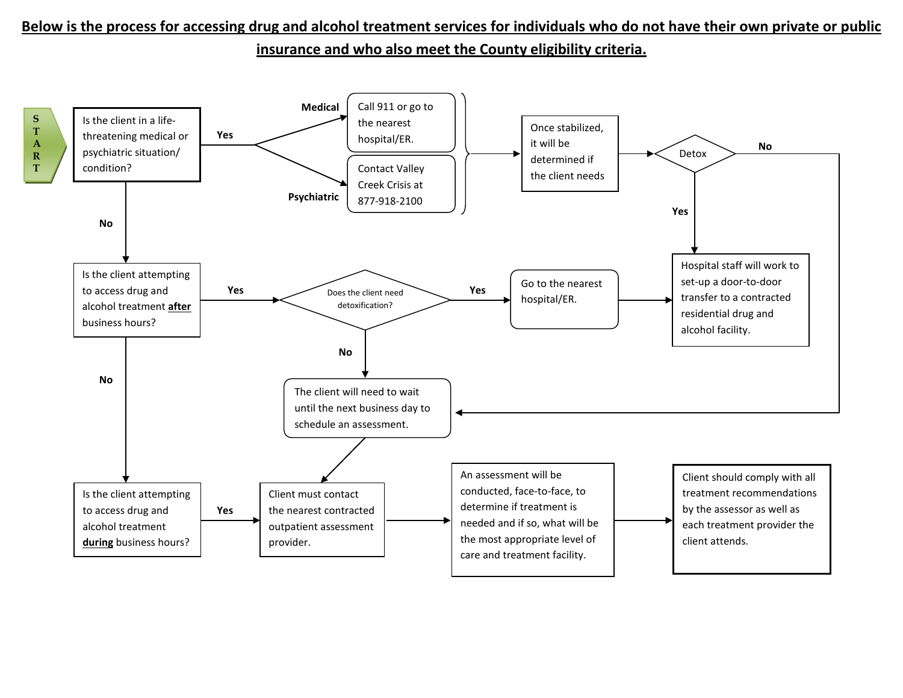## **Below is the process for accessing drug and alcohol treatment services for individuals who do not have their own private or public insurance and who also meet the County eligibility criteria.**